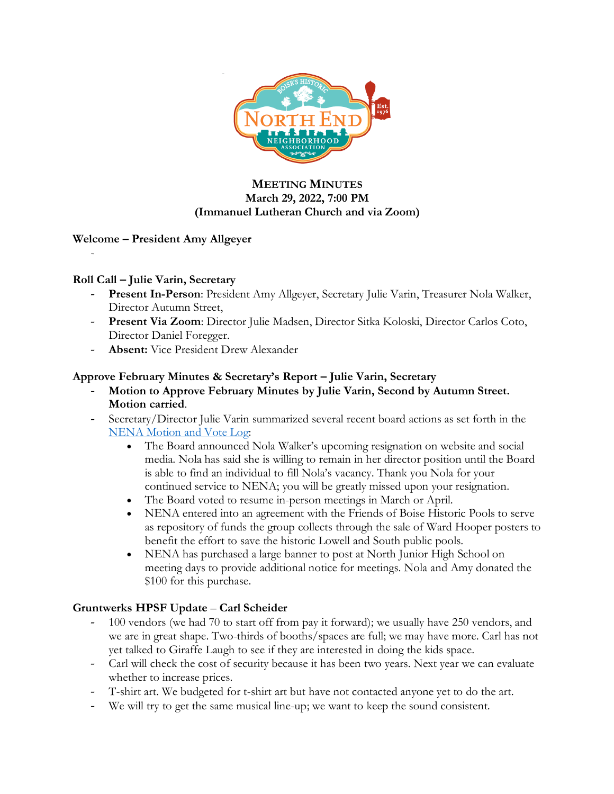

### **MEETING MINUTES March 29, 2022, 7:00 PM (Immanuel Lutheran Church and via Zoom)**

### **Welcome – President Amy Allgeyer**

### **Roll Call – Julie Varin, Secretary**

-

- **Present In-Person**: President Amy Allgeyer, Secretary Julie Varin, Treasurer Nola Walker, Director Autumn Street,
- **Present Via Zoom**: Director Julie Madsen, Director Sitka Koloski, Director Carlos Coto, Director Daniel Foregger.
- **Absent:** Vice President Drew Alexander

### **Approve February Minutes & Secretary's Report – Julie Varin, Secretary**

- **Motion to Approve February Minutes by Julie Varin, Second by Autumn Street. Motion carried**.
- Secretary/Director Julie Varin summarized several recent board actions as set forth in the NENA Motion and Vote Log:
	- The Board announced Nola Walker's upcoming resignation on website and social media. Nola has said she is willing to remain in her director position until the Board is able to find an individual to fill Nola's vacancy. Thank you Nola for your continued service to NENA; you will be greatly missed upon your resignation.
	- The Board voted to resume in-person meetings in March or April.
	- NENA entered into an agreement with the Friends of Boise Historic Pools to serve as repository of funds the group collects through the sale of Ward Hooper posters to benefit the effort to save the historic Lowell and South public pools.
	- NENA has purchased a large banner to post at North Junior High School on meeting days to provide additional notice for meetings. Nola and Amy donated the \$100 for this purchase.

### **Gruntwerks HPSF Update** – **Carl Scheider**

- 100 vendors (we had 70 to start off from pay it forward); we usually have 250 vendors, and we are in great shape. Two-thirds of booths/spaces are full; we may have more. Carl has not yet talked to Giraffe Laugh to see if they are interested in doing the kids space.
- Carl will check the cost of security because it has been two years. Next year we can evaluate whether to increase prices.
- T-shirt art. We budgeted for t-shirt art but have not contacted anyone yet to do the art.
- We will try to get the same musical line-up; we want to keep the sound consistent.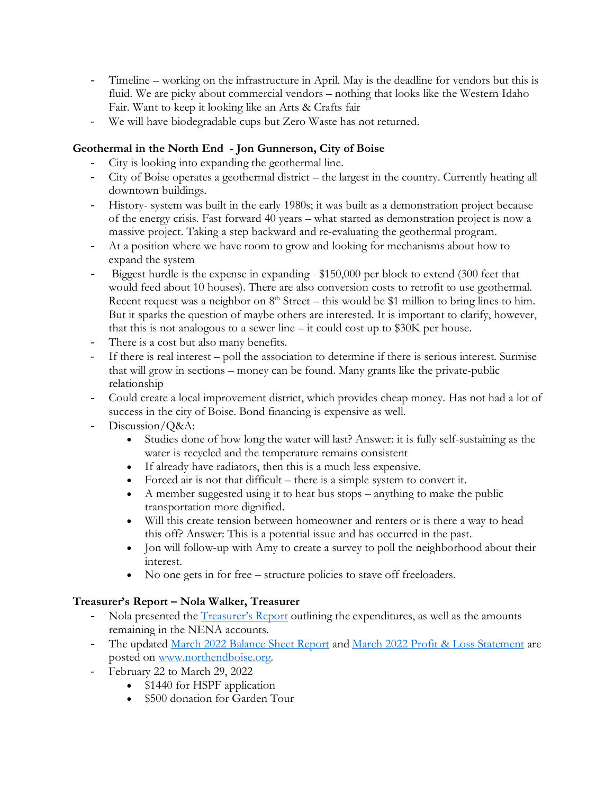- Timeline working on the infrastructure in April. May is the deadline for vendors but this is fluid. We are picky about commercial vendors – nothing that looks like the Western Idaho Fair. Want to keep it looking like an Arts & Crafts fair
- We will have biodegradable cups but Zero Waste has not returned.

## **Geothermal in the North End - Jon Gunnerson, City of Boise**

- City is looking into expanding the geothermal line.
- City of Boise operates a geothermal district the largest in the country. Currently heating all downtown buildings.
- History- system was built in the early 1980s; it was built as a demonstration project because of the energy crisis. Fast forward 40 years – what started as demonstration project is now a massive project. Taking a step backward and re-evaluating the geothermal program.
- At a position where we have room to grow and looking for mechanisms about how to expand the system
- Biggest hurdle is the expense in expanding \$150,000 per block to extend (300 feet that would feed about 10 houses). There are also conversion costs to retrofit to use geothermal. Recent request was a neighbor on  $8<sup>th</sup>$  Street – this would be \$1 million to bring lines to him. But it sparks the question of maybe others are interested. It is important to clarify, however, that this is not analogous to a sewer line – it could cost up to \$30K per house.
- There is a cost but also many benefits.
- If there is real interest poll the association to determine if there is serious interest. Surmise that will grow in sections – money can be found. Many grants like the private-public relationship
- Could create a local improvement district, which provides cheap money. Has not had a lot of success in the city of Boise. Bond financing is expensive as well.
- Discussion/Q&A:
	- Studies done of how long the water will last? Answer: it is fully self-sustaining as the water is recycled and the temperature remains consistent
	- If already have radiators, then this is a much less expensive.
	- Forced air is not that difficult there is a simple system to convert it.
	- A member suggested using it to heat bus stops anything to make the public transportation more dignified.
	- Will this create tension between homeowner and renters or is there a way to head this off? Answer: This is a potential issue and has occurred in the past.
	- Jon will follow-up with Amy to create a survey to poll the neighborhood about their interest.
	- No one gets in for free structure policies to stave off freeloaders.

# **Treasurer's Report – Nola Walker, Treasurer**

- Nola presented the Treasurer's Report outlining the expenditures, as well as the amounts remaining in the NENA accounts.
- The updated March 2022 Balance Sheet Report and March 2022 Profit & Loss Statement are posted on www.northendboise.org.
- February 22 to March 29, 2022
	- \$1440 for HSPF application
	- \$500 donation for Garden Tour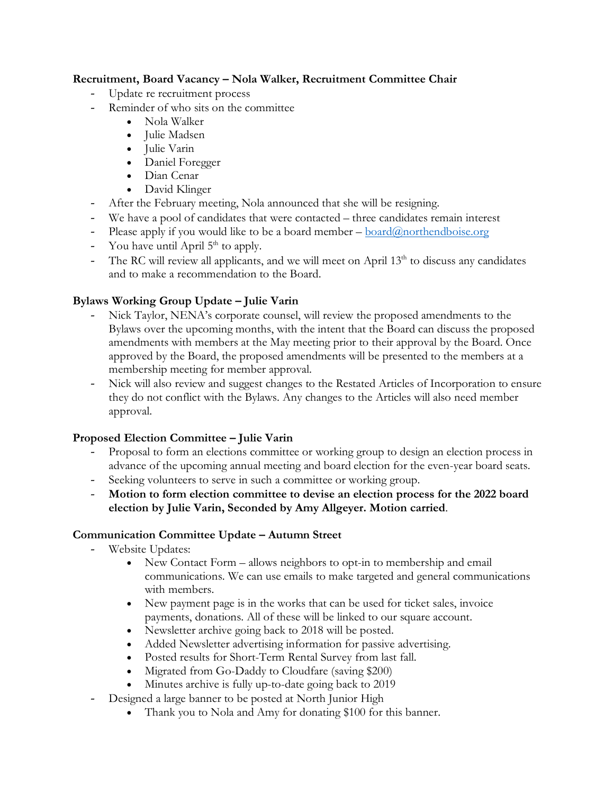### **Recruitment, Board Vacancy – Nola Walker, Recruitment Committee Chair**

- Update re recruitment process
- Reminder of who sits on the committee
	- Nola Walker
	- Julie Madsen
	- Julie Varin
	- Daniel Foregger
	- Dian Cenar
	- David Klinger
- After the February meeting, Nola announced that she will be resigning.
- We have a pool of candidates that were contacted three candidates remain interest
- Please apply if you would like to be a board member  $-\frac{\text{board}(\partial\Omega)$  northendboise.org
- You have until April  $5<sup>th</sup>$  to apply.
- The RC will review all applicants, and we will meet on April  $13<sup>th</sup>$  to discuss any candidates and to make a recommendation to the Board.

## **Bylaws Working Group Update – Julie Varin**

- Nick Taylor, NENA's corporate counsel, will review the proposed amendments to the Bylaws over the upcoming months, with the intent that the Board can discuss the proposed amendments with members at the May meeting prior to their approval by the Board. Once approved by the Board, the proposed amendments will be presented to the members at a membership meeting for member approval.
- Nick will also review and suggest changes to the Restated Articles of Incorporation to ensure they do not conflict with the Bylaws. Any changes to the Articles will also need member approval.

### **Proposed Election Committee – Julie Varin**

- Proposal to form an elections committee or working group to design an election process in advance of the upcoming annual meeting and board election for the even-year board seats.
- Seeking volunteers to serve in such a committee or working group.
- **Motion to form election committee to devise an election process for the 2022 board election by Julie Varin, Seconded by Amy Allgeyer. Motion carried**.

### **Communication Committee Update – Autumn Street**

- Website Updates:
	- New Contact Form allows neighbors to opt-in to membership and email communications. We can use emails to make targeted and general communications with members.
	- New payment page is in the works that can be used for ticket sales, invoice payments, donations. All of these will be linked to our square account.
	- Newsletter archive going back to 2018 will be posted.
	- Added Newsletter advertising information for passive advertising.
	- Posted results for Short-Term Rental Survey from last fall.
	- Migrated from Go-Daddy to Cloudfare (saving \$200)
	- Minutes archive is fully up-to-date going back to 2019
- Designed a large banner to be posted at North Junior High
	- Thank you to Nola and Amy for donating \$100 for this banner.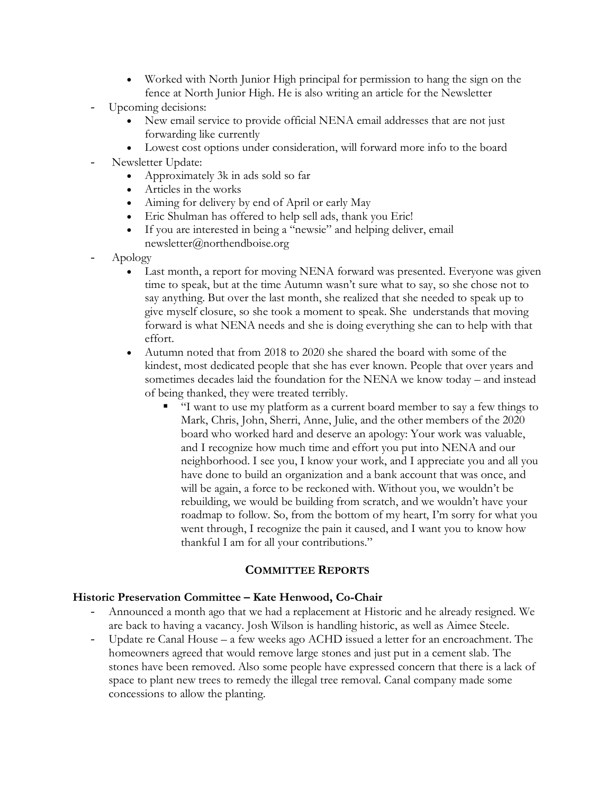- Worked with North Junior High principal for permission to hang the sign on the fence at North Junior High. He is also writing an article for the Newsletter
- Upcoming decisions:
	- New email service to provide official NENA email addresses that are not just forwarding like currently
	- Lowest cost options under consideration, will forward more info to the board
- Newsletter Update:
	- Approximately 3k in ads sold so far
	- Articles in the works
	- Aiming for delivery by end of April or early May
	- Eric Shulman has offered to help sell ads, thank you Eric!
	- If you are interested in being a "newsie" and helping deliver, email newsletter@northendboise.org
- Apology
	- Last month, a report for moving NENA forward was presented. Everyone was given time to speak, but at the time Autumn wasn't sure what to say, so she chose not to say anything. But over the last month, she realized that she needed to speak up to give myself closure, so she took a moment to speak. She understands that moving forward is what NENA needs and she is doing everything she can to help with that effort.
	- Autumn noted that from 2018 to 2020 she shared the board with some of the kindest, most dedicated people that she has ever known. People that over years and sometimes decades laid the foundation for the NENA we know today – and instead of being thanked, they were treated terribly.
		- "I want to use my platform as a current board member to say a few things to Mark, Chris, John, Sherri, Anne, Julie, and the other members of the 2020 board who worked hard and deserve an apology: Your work was valuable, and I recognize how much time and effort you put into NENA and our neighborhood. I see you, I know your work, and I appreciate you and all you have done to build an organization and a bank account that was once, and will be again, a force to be reckoned with. Without you, we wouldn't be rebuilding, we would be building from scratch, and we wouldn't have your roadmap to follow. So, from the bottom of my heart, I'm sorry for what you went through, I recognize the pain it caused, and I want you to know how thankful I am for all your contributions."

### **COMMITTEE REPORTS**

# **Historic Preservation Committee – Kate Henwood, Co-Chair**

- Announced a month ago that we had a replacement at Historic and he already resigned. We are back to having a vacancy. Josh Wilson is handling historic, as well as Aimee Steele.
- Update re Canal House a few weeks ago ACHD issued a letter for an encroachment. The homeowners agreed that would remove large stones and just put in a cement slab. The stones have been removed. Also some people have expressed concern that there is a lack of space to plant new trees to remedy the illegal tree removal. Canal company made some concessions to allow the planting.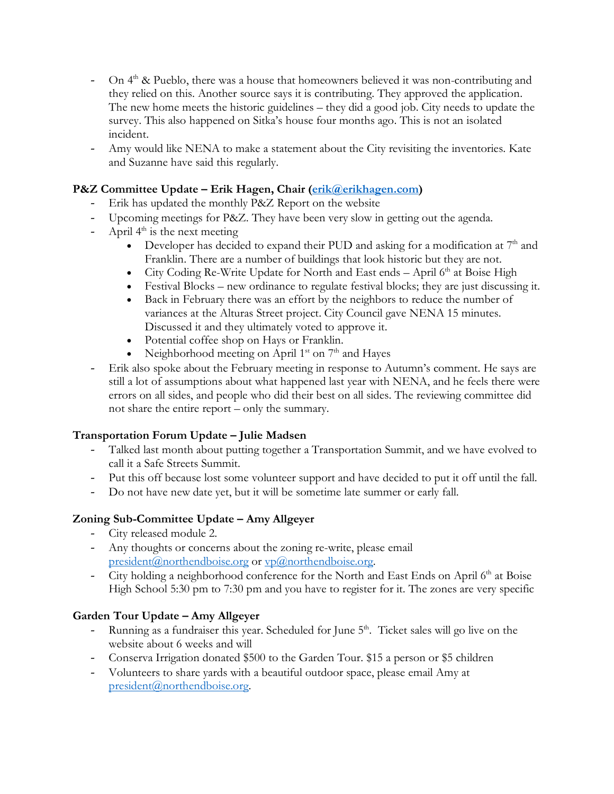- On  $4<sup>th</sup>$  & Pueblo, there was a house that homeowners believed it was non-contributing and they relied on this. Another source says it is contributing. They approved the application. The new home meets the historic guidelines – they did a good job. City needs to update the survey. This also happened on Sitka's house four months ago. This is not an isolated incident.
- Amy would like NENA to make a statement about the City revisiting the inventories. Kate and Suzanne have said this regularly.

### **P&Z Committee Update – Erik Hagen, Chair (erik@erikhagen.com)**

- Erik has updated the monthly P&Z Report on the website
- Upcoming meetings for P&Z. They have been very slow in getting out the agenda.
- April  $4^{\text{th}}$  is the next meeting
	- Developer has decided to expand their PUD and asking for a modification at  $7<sup>th</sup>$  and Franklin. There are a number of buildings that look historic but they are not.
	- City Coding Re-Write Update for North and East ends April  $6<sup>th</sup>$  at Boise High
	- Festival Blocks new ordinance to regulate festival blocks; they are just discussing it.
	- Back in February there was an effort by the neighbors to reduce the number of variances at the Alturas Street project. City Council gave NENA 15 minutes. Discussed it and they ultimately voted to approve it.
	- Potential coffee shop on Hays or Franklin.
	- Neighborhood meeting on April  $1<sup>st</sup>$  on  $7<sup>th</sup>$  and Hayes
- Erik also spoke about the February meeting in response to Autumn's comment. He says are still a lot of assumptions about what happened last year with NENA, and he feels there were errors on all sides, and people who did their best on all sides. The reviewing committee did not share the entire report – only the summary.

#### **Transportation Forum Update – Julie Madsen**

- Talked last month about putting together a Transportation Summit, and we have evolved to call it a Safe Streets Summit.
- Put this off because lost some volunteer support and have decided to put it off until the fall.
- Do not have new date yet, but it will be sometime late summer or early fall.

#### **Zoning Sub-Committee Update – Amy Allgeyer**

- City released module 2.
- Any thoughts or concerns about the zoning re-write, please email president@northendboise.org or  $vp@$ northendboise.org.
- City holding a neighborhood conference for the North and East Ends on April  $6<sup>th</sup>$  at Boise High School 5:30 pm to 7:30 pm and you have to register for it. The zones are very specific

#### **Garden Tour Update – Amy Allgeyer**

- Running as a fundraiser this year. Scheduled for June  $5<sup>th</sup>$ . Ticket sales will go live on the website about 6 weeks and will
- Conserva Irrigation donated \$500 to the Garden Tour. \$15 a person or \$5 children
- Volunteers to share yards with a beautiful outdoor space, please email Amy at president@northendboise.org.